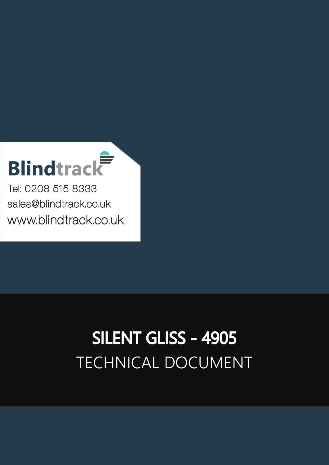# **Blindtrack**

Tel: 0208 515 8333 [sales@blindtrack.co.uk](mailto:sales%40blindtrack.co.uk?subject=) [www.blindtrack.co.uk](http://www.blindtrack.co.uk)

# TECHNICAL DOCUMENT SILENT GLISS - 4905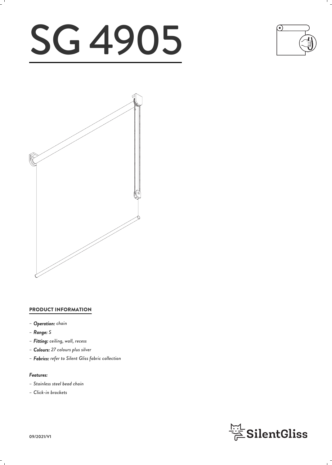# SG 4905





### PRODUCT INFORMATION

- *– Operation: chain*
- *– Range: S*
- *– Fitting: ceiling, wall, recess*
- *– Colours: 27 colours plus silver*
- *– Fabrics: refer to Silent Gliss fabric collection*

### *Features:*

- *– Stainless steel bead chain*
- *– Click-in brackets*

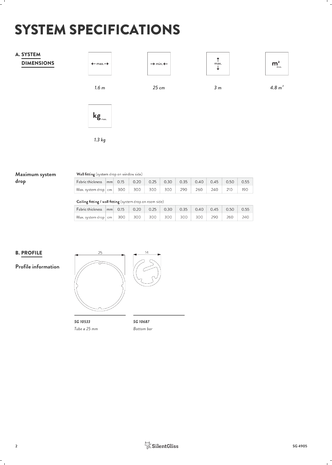# SYSTEM SPECIFICATIONS



# **Maximum system** Wall fitting (system drop on window side)

**drop**

| Fabric thickness nm 0.15 0.20 0.25 0.30 0.35 0.40 0.45 0.50 |  |  |  |  |  |
|-------------------------------------------------------------|--|--|--|--|--|
| Max. system drop cm 300 300 300 300 300 290 260 240 210     |  |  |  |  |  |
|                                                             |  |  |  |  |  |

Ceiling fitting / wall fitting (system drop on room side)

| Fabric thickness mm 0.15 0.20 0.25 0.30 0.35 0.40 0.45 0.50 0.55            | $\sim$ |  |  |  |  |  |
|-----------------------------------------------------------------------------|--------|--|--|--|--|--|
|                                                                             |        |  |  |  |  |  |
| Max. system drop   cm   300   300   300   300   300   300   290   260   240 |        |  |  |  |  |  |

 $0.55$ 190

# **B. PROFILE**  $\frac{25}{25}$

**Profile information**



*SG 10533 SG 10687 Tube ø 25 mm*

*Bottom bar*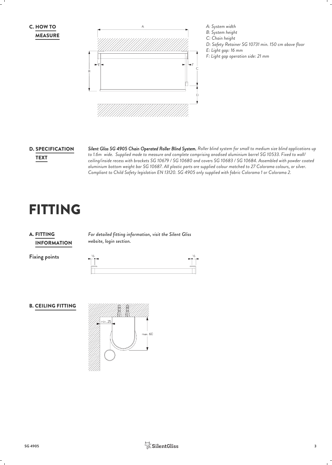MEASURE



# **D. SPECIFICATION**

*Silent Gliss SG 4905 Chain Operated Roller Blind System. Roller blind system for small to medium size blind applications up* SPECIFICATION *to 1.6m wide. Supplied made to measure and complete comprising anodised aluminium barrel SG 10533. Fixed to wall/ ceiling/inside recess with brackets SG 10679 / SG 10680 and covers SG 10683 / SG 10684. Assembled with powder coated* TEXT *aluminium bottom weight bar SG 10687. All plastic parts are supplied colour matched to 27 Colorama colours, or silver. Compliant to Child Safety legislation EN 13120. SG 4905 only supplied with fabric Colorama 1 or Colorama 2.*

# FITTING

# INFORMATION **A. FITTING**

*For detailed fitting information, visit the Silent Gliss* FITTING *website, login section.*

**Fixing points**

#### B. CEILING FITTING

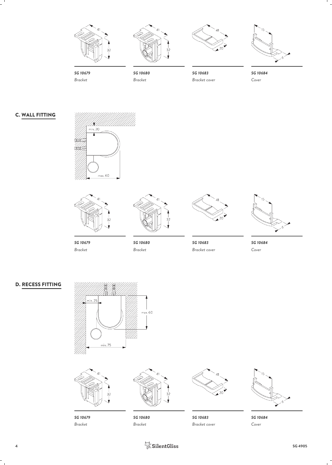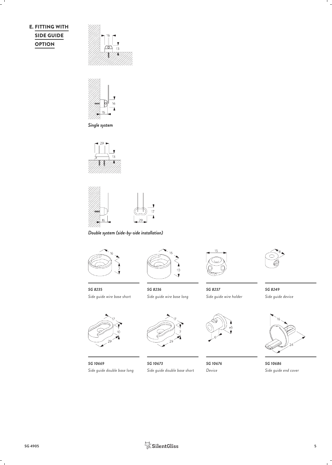# SIDE GUIDE **OPTION**





*Single system*





*Double system (side-by-side installation)*



*SG 8235 Side guide wire base short*



*SG 10669 Side guide double base long Side guide double base short*



*Side guide wire base long*





*SG 8236 SG 8237 SG 8249 Side guide wire holder*



*SG 10673 Device*



*Side guide device*



*SG 10676 SG 10686 Side guide end cover*



**SG 4905 5**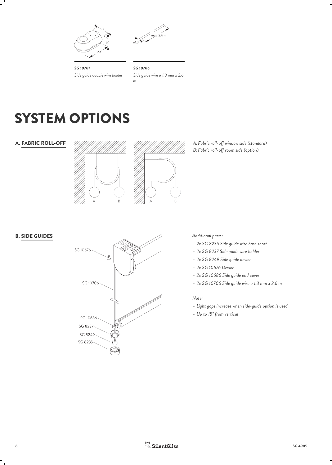



*SG 10701 Side guide double wire holder*

*SG 10706 Side guide wire ø 1.3 mm x 2.6 m*

# SYSTEM OPTIONS

#### A. FABRIC ROLL-OFF *A:*

B. SIDE GUIDES



*Fabric roll-off window side (standard) Fabric roll-off room side (option) B:*



*Additional parts:*

- *– 2x SG 8235 Side guide wire base short*
- *– 2x SG 8237 Side guide wire holder*
- *– 2x SG 8249 Side guide device*
- *– 2x SG 10676 Device*
- *– 2x SG 10686 Side guide end cover*
- *– 2x SG 10706 Side guide wire ø 1.3 mm x 2.6 m*

#### *Note:*

- *– Light gaps increase when side-guide option is used*
- *– Up to 15° from vertical*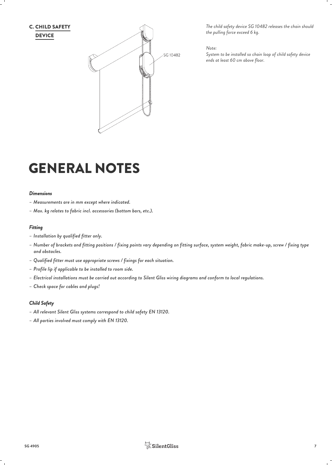

*The child safety device SG 10482 releases the chain should the pulling force exceed 6 kg.*

*Note:*

*System to be installed so chain loop of child safety device ends at least 60 cm above floor.* 

# GENERAL NOTES

#### *Dimensions*

- *– Measurements are in mm except where indicated.*
- *– Max. kg relates to fabric incl. accessories (bottom bars, etc.).*

#### *Fitting*

- *– Installation by qualified fitter only.*
- *– Number of brackets and fitting positions / fixing points vary depending on fitting surface, system weight, fabric make-up, screw / fixing type and obstacles.*
- *– Qualified fitter must use appropriate screws / fixings for each situation.*
- *– Profile lip if applicable to be installed to room side.*
- *– Electrical installations must be carried out according to Silent Gliss wiring diagrams and conform to local regulations.*
- *– Check space for cables and plugs!*

#### *Child Safety*

- *– All relevant Silent Gliss systems correspond to child safety EN 13120.*
- *– All parties involved must comply with EN 13120.*